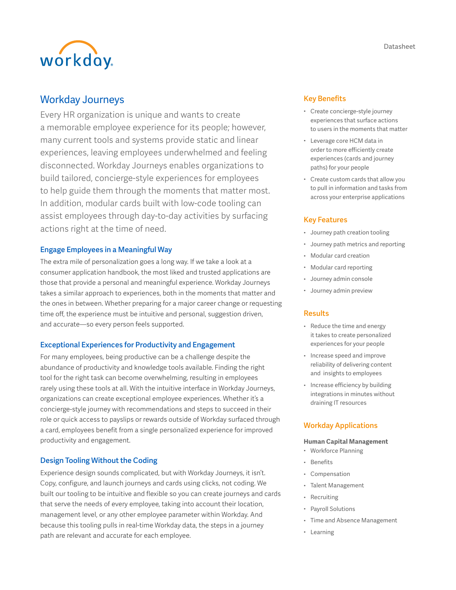Datasheet



# Workday Journeys

Every HR organization is unique and wants to create a memorable employee experience for its people; however, many current tools and systems provide static and linear experiences, leaving employees underwhelmed and feeling disconnected. Workday Journeys enables organizations to build tailored, concierge-style experiences for employees to help guide them through the moments that matter most. In addition, modular cards built with low-code tooling can assist employees through day-to-day activities by surfacing actions right at the time of need.

# Engage Employees in a Meaningful Way

The extra mile of personalization goes a long way. If we take a look at a consumer application handbook, the most liked and trusted applications are those that provide a personal and meaningful experience. Workday Journeys takes a similar approach to experiences, both in the moments that matter and the ones in between. Whether preparing for a major career change or requesting time off, the experience must be intuitive and personal, suggestion driven, and accurate—so every person feels supported.

### Exceptional Experiences for Productivity and Engagement

For many employees, being productive can be a challenge despite the abundance of productivity and knowledge tools available. Finding the right tool for the right task can become overwhelming, resulting in employees rarely using these tools at all. With the intuitive interface in Workday Journeys, organizations can create exceptional employee experiences. Whether it's a concierge-style journey with recommendations and steps to succeed in their role or quick access to payslips or rewards outside of Workday surfaced through a card, employees benefit from a single personalized experience for improved productivity and engagement.

# Design Tooling Without the Coding

Experience design sounds complicated, but with Workday Journeys, it isn't. Copy, configure, and launch journeys and cards using clicks, not coding. We built our tooling to be intuitive and flexible so you can create journeys and cards that serve the needs of every employee, taking into account their location, management level, or any other employee parameter within Workday. And because this tooling pulls in real-time Workday data, the steps in a journey path are relevant and accurate for each employee.

### Key Benefits

- Create concierge-style journey experiences that surface actions to users in the moments that matter
- Leverage core HCM data in order to more efficiently create experiences (cards and journey paths) for your people
- Create custom cards that allow you to pull in information and tasks from across your enterprise applications

### Key Features

- Journey path creation tooling
- Journey path metrics and reporting
- Modular card creation
- Modular card reporting
- Journey admin console
- Journey admin preview

### Results

- Reduce the time and energy it takes to create personalized experiences for your people
- Increase speed and improve reliability of delivering content and insights to employees
- Increase efficiency by building integrations in minutes without draining IT resources

### Workday Applications

#### **Human Capital Management**

- Workforce Planning
- Benefits
- Compensation
- Talent Management
- Recruiting
- Payroll Solutions
- Time and Absence Management
- Learning